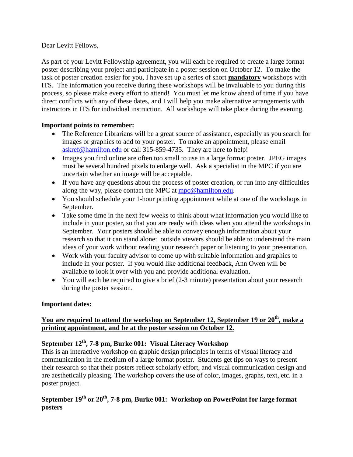Dear Levitt Fellows,

As part of your Levitt Fellowship agreement, you will each be required to create a large format poster describing your project and participate in a poster session on October 12. To make the task of poster creation easier for you, I have set up a series of short **mandatory** workshops with ITS. The information you receive during these workshops will be invaluable to you during this process, so please make every effort to attend! You must let me know ahead of time if you have direct conflicts with any of these dates, and I will help you make alternative arrangements with instructors in ITS for individual instruction. All workshops will take place during the evening.

#### **Important points to remember:**

- The Reference Librarians will be a great source of assistance, especially as you search for images or graphics to add to your poster. To make an appointment, please email askref@hamilton.edu or call 315-859-4735. They are here to help!
- Images you find online are often too small to use in a large format poster. JPEG images must be several hundred pixels to enlarge well. Ask a specialist in the MPC if you are uncertain whether an image will be acceptable.
- If you have any questions about the process of poster creation, or run into any difficulties along the way, please contact the MPC at mpc@hamilton.edu.
- You should schedule your 1-hour printing appointment while at one of the workshops in September.
- Take some time in the next few weeks to think about what information you would like to include in your poster, so that you are ready with ideas when you attend the workshops in September. Your posters should be able to convey enough information about your research so that it can stand alone: outside viewers should be able to understand the main ideas of your work without reading your research paper or listening to your presentation.
- Work with your faculty advisor to come up with suitable information and graphics to include in your poster. If you would like additional feedback, Ann Owen will be available to look it over with you and provide additional evaluation.
- You will each be required to give a brief (2-3 minute) presentation about your research during the poster session.

#### **Important dates:**

### **You are required to attend the workshop on September 12, September 19 or 20th, make a printing appointment, and be at the poster session on October 12.**

# **September 12th, 7-8 pm, Burke 001: Visual Literacy Workshop**

This is an interactive workshop on graphic design principles in terms of visual literacy and communication in the medium of a large format poster. Students get tips on ways to present their research so that their posters reflect scholarly effort, and visual communication design and are aesthetically pleasing. The workshop covers the use of color, images, graphs, text, etc. in a poster project.

### **September 19th or 20th, 7-8 pm, Burke 001: Workshop on PowerPoint for large format posters**